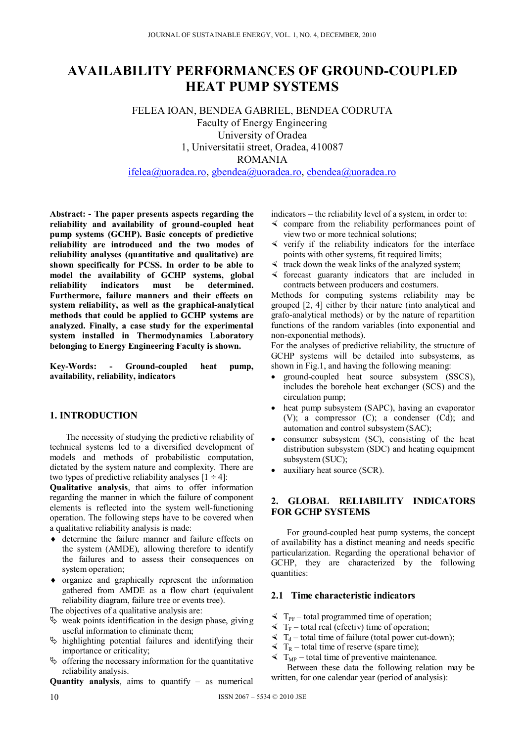# **AVAILABILITY PERFORMANCES OF GROUND-COUPLED HEAT PUMP SYSTEMS**

FELEA IOAN, BENDEA GABRIEL, BENDEA CODRUTA Faculty of Energy Engineering University of Oradea 1, Universitatii street, Oradea, 410087 ROMANIA

ifelea@uoradea.ro, gbendea@uoradea.ro, cbendea@uoradea.ro

**Abstract: - The paper presents aspects regarding the reliability and availability of ground-coupled heat pump systems (GCHP). Basic concepts of predictive reliability are introduced and the two modes of reliability analyses (quantitative and qualitative) are shown specifically for PCSS. In order to be able to model the availability of GCHP systems, global**  must be determined. **Furthermore, failure manners and their effects on system reliability, as well as the graphical-analytical methods that could be applied to GCHP systems are analyzed. Finally, a case study for the experimental system installed in Thermodynamics Laboratory belonging to Energy Engineering Faculty is shown.** 

**Key-Words: - Ground-coupled heat pump, availability, reliability, indicators** 

#### **1. INTRODUCTION**

The necessity of studying the predictive reliability of technical systems led to a diversified development of models and methods of probabilistic computation, dictated by the system nature and complexity. There are two types of predictive reliability analyses  $[1 \div 4]$ :

**Qualitative analysis**, that aims to offer information regarding the manner in which the failure of component elements is reflected into the system well-functioning operation. The following steps have to be covered when a qualitative reliability analysis is made:

- determine the failure manner and failure effects on the system (AMDE), allowing therefore to identify the failures and to assess their consequences on system operation;
- organize and graphically represent the information gathered from AMDE as a flow chart (equivalent reliability diagram, failure tree or events tree).

The objectives of a qualitative analysis are:

- $\&$  weak points identification in the design phase, giving useful information to eliminate them;
- $\%$  highlighting potential failures and identifying their importance or criticality;
- $\upphi$  offering the necessary information for the quantitative reliability analysis.

**Quantity analysis**, aims to quantify – as numerical

indicators – the reliability level of a system, in order to:

- $\prec$  compare from the reliability performances point of view two or more technical solutions;
- $\prec$  verify if the reliability indicators for the interface points with other systems, fit required limits;
- $\prec$  track down the weak links of the analyzed system;
- $\prec$  forecast guaranty indicators that are included in contracts between producers and costumers.

Methods for computing systems reliability may be grouped [2, 4] either by their nature (into analytical and grafo-analytical methods) or by the nature of repartition functions of the random variables (into exponential and non-exponential methods).

For the analyses of predictive reliability, the structure of GCHP systems will be detailed into subsystems, as shown in Fig.1, and having the following meaning:

- ground-coupled heat source subsystem (SSCS), includes the borehole heat exchanger (SCS) and the circulation pump;
- heat pump subsystem (SAPC), having an evaporator (V); a compressor (C); a condenser (Cd); and automation and control subsystem (SAC);
- consumer subsystem (SC), consisting of the heat distribution subsystem (SDC) and heating equipment subsystem (SUC);
- auxiliary heat source (SCR).

# **2. GLOBAL RELIABILITY INDICATORS FOR GCHP SYSTEMS**

For ground-coupled heat pump systems, the concept of availability has a distinct meaning and needs specific particularization. Regarding the operational behavior of GCHP, they are characterized by the following quantities:

#### **2.1 Time characteristic indicators**

- $\leq T_{\text{PF}}$  total programmed time of operation;
- $\leq T_F$  total real (efectiv) time of operation;
- $\leq T_d$  total time of failure (total power cut-down);
- $\leq T_R$  total time of reserve (spare time);
- $\leq T_{MP}$  total time of preventive maintenance.

Between these data the following relation may be written, for one calendar year (period of analysis):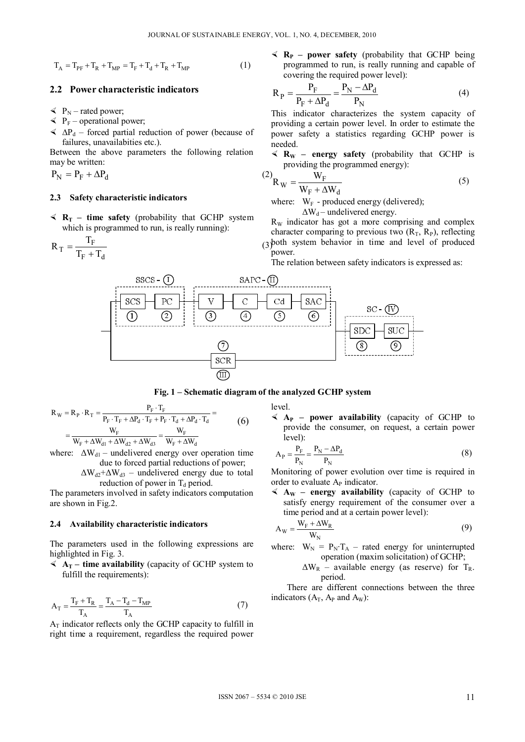$$
T_A = T_{PF} + T_R + T_{MP} = T_F + T_d + T_R + T_{MP}
$$
 (1)

#### **2.2 Power characteristic indicators**

- $\leq P_N$  rated power;
- $\leq P_F$  operational power;
- $\leq \Delta P_d$  forced partial reduction of power (because of failures, unavailabities etc.).

Between the above parameters the following relation may be written:

 $P_{N} = P_{F} + \Delta P_{d}$  (

#### **2.3 Safety characteristic indicators**

 $\leq R_T$  – **time safety** (probability that GCHP system which is programmed to run, is really running):

$$
R_T = \frac{T_F}{T_F + T_d} \tag{3}
$$

 $\leq R_P$  – **power safety** (probability that GCHP being programmed to run, is really running and capable of covering the required power level):

$$
R_P = \frac{P_F}{P_F + \Delta P_d} = \frac{P_N - \Delta P_d}{P_N}
$$
(4)

This indicator characterizes the system capacity of providing a certain power level. In order to estimate the power safety a statistics regarding GCHP power is needed.

 $\leq R_W$  – energy safety (probability that GCHP is providing the programmed energy):

$$
{}^{2}\text{R}_{\text{W}} = \frac{\text{W}_{\text{F}}}{\text{W}_{\text{F}} + \Delta \text{W}_{\text{d}}}
$$
 (5)

where:  $W_F$  - produced energy (delivered);

 $\Delta W_d$  – undelivered energy.

 $R_W$  indicator has got a more comprising and complex character comparing to previous two  $(R<sub>T</sub>, R<sub>P</sub>)$ , reflecting

(3) both system behavior in time and level of produced power.

The relation between safety indicators is expressed as:



#### **Fig. 1 – Schematic diagram of the analyzed GCHP system**

$$
R_{\rm w} = R_{\rm P} \cdot R_{\rm T} = \frac{P_{\rm F} \cdot T_{\rm F}}{P_{\rm F} \cdot T_{\rm F} + \Delta P_{\rm d} \cdot T_{\rm F} + P_{\rm F} \cdot T_{\rm d} + \Delta P_{\rm d} \cdot T_{\rm d}} = \frac{Q_{\rm F} \cdot T_{\rm F}}{W_{\rm F}} = \frac{Q_{\rm F} \cdot T_{\rm F}}{W_{\rm F}}
$$

 $= \frac{W_F}{W_F + \Delta W_{d1} + \Delta W_{d2} + \Delta W_{d3}} = \frac{W_F}{W_F + \Delta W_{d1}}$ F F

where:  $\Delta W_{d1}$  – undelivered energy over operation time due to forced partial reductions of power;

> $\Delta W_{d2} + \Delta W_{d3}$  – undelivered energy due to total reduction of power in  $T_d$  period.

The parameters involved in safety indicators computation are shown in Fig.2.

#### **2.4 Availability characteristic indicators**

The parameters used in the following expressions are highlighted in Fig. 3.

 $\leq$  A<sub>T</sub> – time availability (capacity of GCHP system to fulfill the requirements):

$$
A_T = \frac{T_F + T_R}{T_A} = \frac{T_A - T_d - T_{MP}}{T_A}
$$
\n
$$
(7)
$$

 $A_T$  indicator reflects only the GCHP capacity to fulfill in right time a requirement, regardless the required power level.

 $\leq$  A<sub>P</sub> – power availability (capacity of GCHP to provide the consumer, on request, a certain power level):

$$
A_{P} = \frac{P_{F}}{P_{N}} = \frac{P_{N} - \Delta P_{d}}{P_{N}}
$$
\n(8)

Monitoring of power evolution over time is required in order to evaluate  $A<sub>P</sub>$  indicator.

 $\leq A_W$  – energy availability (capacity of GCHP to satisfy energy requirement of the consumer over a time period and at a certain power level):

$$
A_W = \frac{W_F + \Delta W_R}{W_N} \tag{9}
$$

where:  $W_N = P_N T_A$  – rated energy for uninterrupted operation (maxim solicitation) of GCHP;

> $\Delta W_R$  – available energy (as reserve) for T<sub>R</sub>. period.

There are different connections between the three indicators  $(A_T, A_P \text{ and } A_W)$ :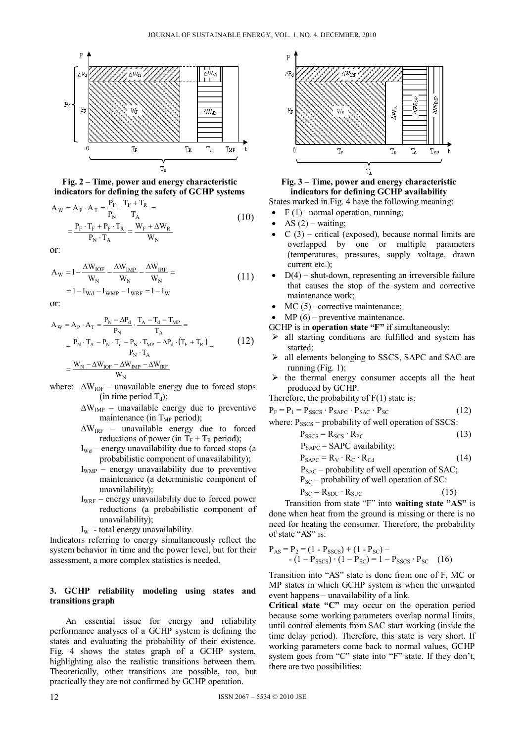



$$
A_{W} = A_{P} \cdot A_{T} = \frac{P_{F}}{P_{N}} \cdot \frac{T_{F} + T_{R}}{T_{A}} =
$$
  

$$
= \frac{P_{F} \cdot T_{F} + P_{F} \cdot T_{R}}{P_{N} \cdot T_{A}} = \frac{W_{F} + \Delta W_{R}}{W_{N}}
$$
(10)

or:

$$
A_{W} = 1 - \frac{\Delta W_{IOF}}{W_{N}} - \frac{\Delta W_{IMP}}{W_{N}} - \frac{\Delta W_{IRF}}{W_{N}} =
$$
  
= 1 - I<sub>Wd</sub> - I<sub>WMP</sub> - I<sub>WRF</sub> = 1 - I<sub>W</sub> (11)

or:

$$
A_{W} = A_{P} \cdot A_{T} = \frac{P_{N} - \Delta P_{d}}{P_{N}} \cdot \frac{T_{A} - T_{d} - T_{MP}}{T_{A}} =
$$
  

$$
= \frac{P_{N} \cdot T_{A} - P_{N} \cdot T_{d} - P_{N} \cdot T_{MP} - \Delta P_{d} \cdot (T_{F} + T_{R})}{P_{N} \cdot T_{A}} =
$$
  

$$
= \frac{W_{N} - \Delta W_{IOF} - \Delta W_{IMP} - \Delta W_{IRF}}{W_{N}}
$$
(12)

- where:  $\Delta W_{IOF}$  unavailable energy due to forced stops (in time period  $T_d$ );
	- $\Delta W_{IMP}$  unavailable energy due to preventive maintenance (in  $T_{MP}$  period);
	- $\Delta W_{IRF}$  unavailable energy due to forced reductions of power (in  $T_F + T_R$  period);
	- $I_{\text{Wd}}$  energy unavailability due to forced stops (a probabilistic component of unavailability);
	- $I_{WMP}$  energy unavailability due to preventive maintenance (a deterministic component of unavailability);
	- $I_{WRF}$  energy unavailability due to forced power reductions (a probabilistic component of unavailability);
	- $I_W$  total energy unavailability.

Indicators referring to energy simultaneously reflect the system behavior in time and the power level, but for their assessment, a more complex statistics is needed.

#### **3. GCHP reliability modeling using states and transitions graph**

An essential issue for energy and reliability performance analyses of a GCHP system is defining the states and evaluating the probability of their existence. Fig. 4 shows the states graph of a GCHP system, highlighting also the realistic transitions between them. Theoretically, other transitions are possible, too, but practically they are not confirmed by GCHP operation.



**Fig. 3 – Time, power and energy characteristic indicators for defining GCHP availability** 

States marked in Fig. 4 have the following meaning:

- F (1) –normal operation, running;
- AS  $(2)$  waiting;
- $C(3)$  critical (exposed), because normal limits are overlapped by one or multiple parameters (temperatures, pressures, supply voltage, drawn current etc.);
- $D(4)$  shut-down, representing an irreversible failure that causes the stop of the system and corrective maintenance work;
- MC (5) –corrective maintenance;
- MP  $(6)$  preventive maintenance.

GCHP is in **operation state "F"** if simultaneously:

- $\triangleright$  all starting conditions are fulfilled and system has started;
- all elements belonging to SSCS, SAPC and SAC are running  $(Fig. 1)$ ;
- the thermal energy consumer accepts all the heat produced by GCHP.

Therefore, the probability of  $F(1)$  state is:

$$
P_F = P_1 = P_{SSCS} \cdot P_{SAPC} \cdot P_{SAC} \cdot P_{SC}
$$
 (12)

where:  $P_{SSCS}$  – probability of well operation of SSCS:

$$
P_{SSCS} = R_{SCS} \cdot R_{PC}
$$
 (13)  

$$
P_{SAPC} - SAPC \text{ availability:}
$$

$$
P_{SAPC} = R_V \cdot R_C \cdot R_{Cd}
$$
 (14)

 $P_{SAC}$  – probability of well operation of SAC;

$$
P_{SC}
$$
 – probability of well operation of SC:

$$
P_{SC} = R_{SDC} \cdot R_{SUC} \tag{15}
$$

Transition from state "F" into **waiting state "AS"** is done when heat from the ground is missing or there is no need for heating the consumer. Therefore, the probability of state "AS" is:

$$
P_{AS} = P_2 = (1 - P_{SSCS}) + (1 - P_{SC}) -- (1 - P_{SSCS}) \cdot (1 - P_{SC}) = 1 - P_{SSCS} \cdot P_{SC}
$$
 (16)

Transition into "AS" state is done from one of F, MC or MP states in which GCHP system is when the unwanted event happens – unavailability of a link.

**Critical state "C"** may occur on the operation period because some working parameters overlap normal limits, until control elements from SAC start working (inside the time delay period). Therefore, this state is very short. If working parameters come back to normal values, GCHP system goes from "C" state into "F" state. If they don't, there are two possibilities: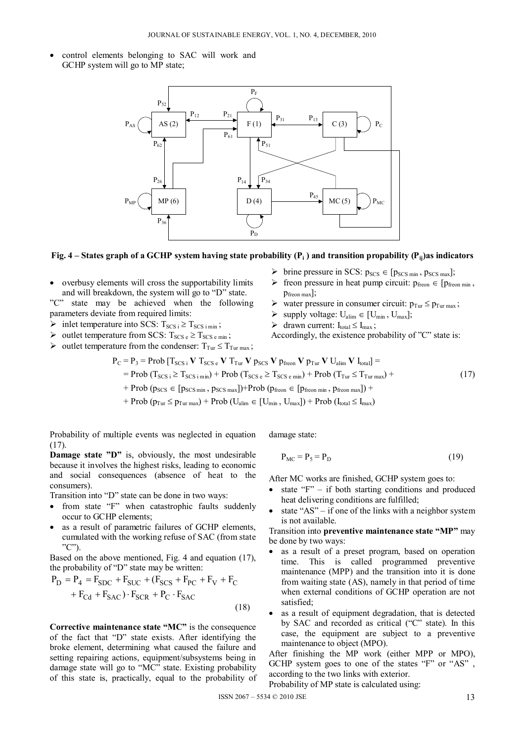control elements belonging to SAC will work and GCHP system will go to MP state;



Fig. 4 – States graph of a GCHP system having state probability (P<sub>i</sub>) and transition propability (P<sub>ii</sub>)as indicators

- overbusy elements will cross the supportability limits and will breakdown, the system will go to "D" state.
- "C" state may be achieved when the following parameters deviate from required limits:
- inlet temperature into SCS:  $T_{SCS i} \ge T_{SCS i min}$ ;
- $\triangleright$  outlet temperature from SCS:  $T_{SCS e} \ge T_{SCS e min}$ ;
- $\triangleright$  outlet temperature from the condenser:  $T_{\text{Tur}} \leq T_{\text{Tur max}}$ ;
- $\triangleright$  brine pressure in SCS:  $p_{SCS} \in [p_{SCS min}, p_{SCS max}]$ ;
- $\triangleright$  freon pressure in heat pump circuit:  $p_{\text{from}} \in [p_{\text{from min}}]$ , pfreon max];
- water pressure in consumer circuit:  $p_{Tur} \leq p_{Turmax}$ ;<br>  $\triangleright$  supply voltage:  $U_{\text{align}} \in [U_{\text{min}} , U_{\text{max}}]$ ;
- supply voltage:  $U_{\text{alim}} \in [U_{\text{min}} , U_{\text{max}}]$ ;
- $\triangleright$  drawn current:  $I_{total} \leq I_{max}$ ;
- Accordingly, the existence probability of "C" state is:

$$
P_C = P_3 = Prob[T_{SCS i} \mathbf{V} T_{SCS e} \mathbf{V} T_{Tur} \mathbf{V} p_{SCS} \mathbf{V} p_{freen} \mathbf{V} p_{Tur} \mathbf{V} U_{alim} \mathbf{V} I_{total}] =
$$
  
= Prob(T<sub>SCS i</sub> ≥ T<sub>SCS i min</sub>) + Prob(T<sub>SCS e</sub> ≥ T<sub>SCS emin</sub>) + Prob(T<sub>Tur</sub> ≤ T<sub>Tur max</sub>) +  
+ Prob(p<sub>SCS</sub> ∈ [p<sub>SCS min</sub>, p<sub>SCS max</sub>])+Prob(p<sub>freen</sub> ∈ [p<sub>freen min</sub>, p<sub>freen max</sub>]) +

+ Prob  $(p_{Tur} \leq p_{Tur \max})$  + Prob  $(U_{alim} \in [U_{min}, U_{max}])$  + Prob  $(I_{total} \leq I_{max})$ 

Probability of multiple events was neglected in equation (17).

**Damage state "D"** is, obviously, the most undesirable because it involves the highest risks, leading to economic and social consequences (absence of heat to the consumers).

Transition into "D" state can be done in two ways:

- from state "F" when catastrophic faults suddenly occur to GCHP elements;
- as a result of parametric failures of GCHP elements, cumulated with the working refuse of SAC (from state "C").

Based on the above mentioned, Fig. 4 and equation (17), the probability of "D" state may be written:

$$
P_{D} = P_{4} = F_{SDC} + F_{SUC} + (F_{SCS} + F_{PC} + F_{V} + F_{C} + F_{Cd} + F_{SAC}) \cdot F_{SCR} + P_{C} \cdot F_{SAC}
$$
\n
$$
(18)
$$

**Corrective maintenance state "MC"** is the consequence of the fact that "D" state exists. After identifying the broke element, determining what caused the failure and setting repairing actions, equipment/subsystems being in damage state will go to "MC" state. Existing probability of this state is, practically, equal to the probability of damage state:

$$
P_{MC} = P_5 = P_D \tag{19}
$$

After MC works are finished, GCHP system goes to:

- state "F" if both starting conditions and produced heat delivering conditions are fulfilled;
- state "AS" if one of the links with a neighbor system is not available.

Transition into **preventive maintenance state "MP"** may be done by two ways:

- as a result of a preset program, based on operation time. This is called programmed preventive maintenance (MPP) and the transition into it is done from waiting state (AS), namely in that period of time when external conditions of GCHP operation are not satisfied;
- as a result of equipment degradation, that is detected by SAC and recorded as critical ("C" state). In this case, the equipment are subject to a preventive maintenance to object (MPO).

After finishing the MP work (either MPP or MPO), GCHP system goes to one of the states "F" or "AS" , according to the two links with exterior.

Probability of MP state is calculated using: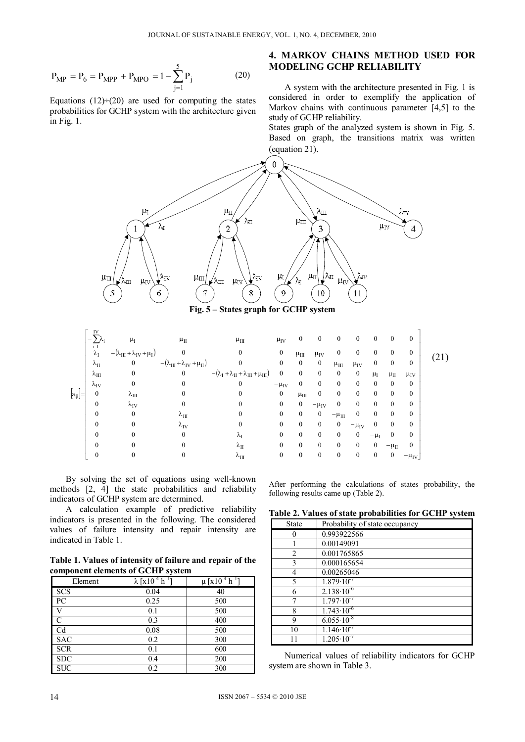$$
P_{MP} = P_6 = P_{MPP} + P_{MPO} = 1 - \sum_{j=1}^{5} P_j
$$
 (20)

Equations  $(12) \div (20)$  are used for computing the states probabilities for GCHP system with the architecture given in Fig. 1.

## **4. MARKOV CHAINS METHOD USED FOR MODELING GCHP RELIABILITY**

A system with the architecture presented in Fig. 1 is considered in order to exemplify the application of Markov chains with continuous parameter [4,5] to the study of GCHP reliability.

States graph of the analyzed system is shown in Fig. 5. Based on graph, the transitions matrix was written (equation 21).



|              | IV                         | $\mu_{I}$                                 | $\mu_{II}$                                                        | $\mu_{III}$                                               | $\mu_{IV}$       | $\mathbf{0}$ | $\overline{0}$ | $\overline{0}$ | $\mathbf{0}$         | $\mathbf{0}$ | $\mathbf{0}$   | $\overline{0}$ |      |
|--------------|----------------------------|-------------------------------------------|-------------------------------------------------------------------|-----------------------------------------------------------|------------------|--------------|----------------|----------------|----------------------|--------------|----------------|----------------|------|
| $[a_{ij}]$ = | $i=I$<br>$\lambda_{\rm I}$ | $-(\lambda_{III} + \lambda_{IV} + \mu_I)$ | $\theta$                                                          |                                                           | $\bf{0}$         | $\mu_{III}$  | $\mu_{IV}$     | $\overline{0}$ | $\mathbf{0}$         | $\theta$     | $\theta$       | $\mathbf{0}$   | (21) |
|              | $\lambda_{\text{II}}$      | $\mathbf{0}$                              | $-(\lambda_{\text{III}} + \lambda_{\text{IV}} + \mu_{\text{II}})$ |                                                           | $\overline{0}$   | $\mathbf{0}$ | $\bf{0}$       | $\mu_{III}$    | $\mu_{\text{IV}}$    | $\bf{0}$     | $\overline{0}$ | $\theta$       |      |
|              | $\lambda_{\text{III}}$     | $\mathbf{0}$                              | $\theta$                                                          | $-(\lambda_I + \lambda_{II} + \lambda_{III} + \mu_{III})$ | $\mathbf{0}$     | $\mathbf{0}$ | $\overline{0}$ | $\overline{0}$ | $\bf{0}$             | $\mu_I$      | $\mu_{II}$     | $\mu_{IV}$     |      |
|              | $\lambda_{\rm IV}$         | 0                                         |                                                                   |                                                           | $-\mu_{IV}$      | 0            | $\theta$       | $\Omega$       | $\mathbf{0}$         | $\Omega$     | $\theta$       | $\Omega$       |      |
|              | $\theta$                   | $\lambda_{\rm III}$                       | $\Omega$                                                          |                                                           | $\boldsymbol{0}$ | $-\mu_{III}$ | 0              | $\theta$       | $\mathbf{0}$         | $\theta$     | $\theta$       | $\theta$       |      |
|              | $\theta$                   | $\lambda_{\rm IV}$                        | $\theta$                                                          |                                                           | $\bf{0}$         | $\mathbf{0}$ | $-\mu_{IV}$    |                | $\mathbf{0}$         | $\theta$     | $\theta$       | $\theta$       |      |
|              | $\Omega$                   | $\mathbf{0}$                              | $\lambda_{III}$                                                   |                                                           | $\mathbf{0}$     | $\mathbf{0}$ | $\mathbf{0}$   | $-\mu_{III}$   | $\bf{0}$             | $\theta$     | $\Omega$       | $\theta$       |      |
|              | $\theta$                   | 0                                         | $\lambda_{\rm IV}$                                                |                                                           | $\mathbf{0}$     | $\mathbf{0}$ | $\mathbf{0}$   | $\mathbf{0}$   | $-\mu$ <sub>IV</sub> | $\theta$     | $\theta$       | $\Omega$       |      |
|              | 0                          | 0                                         | $\theta$                                                          | $\lambda_{\rm I}$                                         | $\mathbf{0}$     | $\mathbf{0}$ | $\mathbf{0}$   | $\mathbf{0}$   | $\boldsymbol{0}$     | $-\mu_I$     | $\Omega$       | $\Omega$       |      |
|              | 0                          |                                           |                                                                   | $\lambda_{\rm II}$                                        | $\mathbf{0}$     | $\mathbf{0}$ | $\mathbf{0}$   | $\mathbf{0}$   | $\boldsymbol{0}$     | $\mathbf{0}$ | $-\mu_{II}$    |                |      |
|              |                            |                                           |                                                                   | $\lambda_{\rm III}$                                       | $\mathbf{0}$     | $\mathbf{0}$ | $\mathbf{0}$   | $\mathbf{0}$   | $\boldsymbol{0}$     | $\bf{0}$     | $\bf{0}$       | $-\mu_{IV}$    |      |

By solving the set of equations using well-known methods [2, 4] the state probabilities and reliability indicators of GCHP system are determined.

A calculation example of predictive reliability indicators is presented in the following. The considered values of failure intensity and repair intensity are indicated in Table 1.

**Table 1. Values of intensity of failure and repair of the component elements of GCHP system** 

| Element      | $\lambda [x10^{-4} h^{-1}]$ | $\mu$ [x10 <sup>-4</sup> h <sup>-1</sup> ] |
|--------------|-----------------------------|--------------------------------------------|
| <b>SCS</b>   | 0.04                        | 40                                         |
| <b>PC</b>    | 0.25                        | 500                                        |
| $\mathbf{V}$ | 0.1                         | 500                                        |
| $\subset$    | 0.3                         | 400                                        |
| Cd           | 0.08                        | 500                                        |
| <b>SAC</b>   | 0.2                         | 300                                        |
| <b>SCR</b>   | 0.1                         | 600                                        |
| <b>SDC</b>   | 0.4                         | 200                                        |
| <b>SUC</b>   | 0.2                         | 300                                        |

After performing the calculations of states probability, the following results came up (Table 2).

**Table 2. Values of state probabilities for GCHP system** 

| <b>State</b>   | Probability of state occupancy |
|----------------|--------------------------------|
|                | 0.993922566                    |
|                | 0.00149091                     |
| $\overline{c}$ | 0.001765865                    |
| $\mathbf{3}$   | 0.000165654                    |
|                | 0.00265046                     |
| 5              | $1.879 \cdot 10^{-7}$          |
| 6              | $2.138 \cdot 10^{-6}$          |
|                | $1.797 \cdot 10^{-7}$          |
| 8              | $1.743 \cdot 10^{-6}$          |
| q              | $6.055 \cdot 10^{-8}$          |
| 10             | $1.146 \cdot 10^{-7}$          |
|                | $1.205 \cdot 10^{-7}$          |

Numerical values of reliability indicators for GCHP system are shown in Table 3.